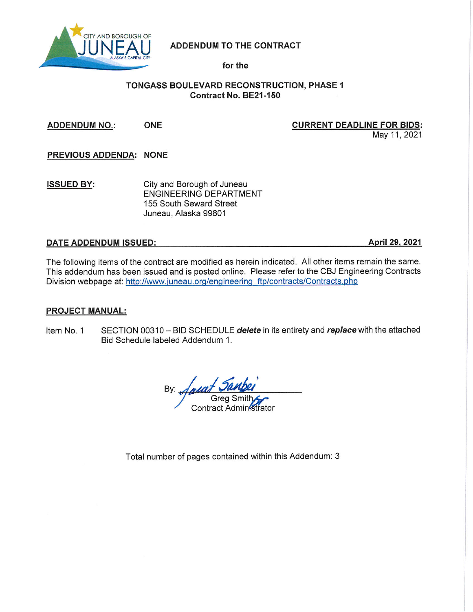

# ADDENDUM TO THE CONTRACT

for the

# **TONGASS BOULEVARD RECONSTRUCTION, PHASE 1** Contract No. BE21-150

**ADDENDUM NO.: ONE** 

## **CURRENT DEADLINE FOR BIDS:**

May 11, 2021

PREVIOUS ADDENDA: NONE

City and Borough of Juneau **ISSUED BY: ENGINEERING DEPARTMENT** 155 South Seward Street Juneau, Alaska 99801

# **DATE ADDENDUM ISSUED:**

April 29, 2021

The following items of the contract are modified as herein indicated. All other items remain the same. This addendum has been issued and is posted online. Please refer to the CBJ Engineering Contracts Division webpage at: http://www.juneau.org/engineering\_ftp/contracts/Contracts.php

#### **PROJECT MANUAL:**

SECTION 00310 - BID SCHEDULE delete in its entirety and replace with the attached Item No. 1 Bid Schedule labeled Addendum 1.

By: Contract Administrator

Total number of pages contained within this Addendum: 3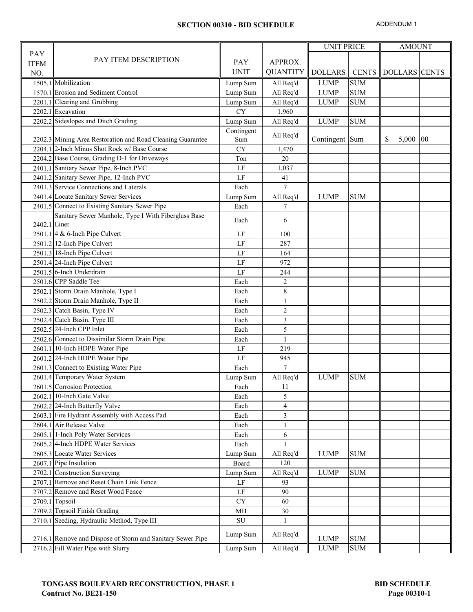#### **SECTION 00310 - BID SCHEDULE**

ADDENDUM 1

|              |                                                              |             |                          | <b>UNIT PRICE</b> |            | <b>AMOUNT</b>                |    |
|--------------|--------------------------------------------------------------|-------------|--------------------------|-------------------|------------|------------------------------|----|
| PAY          |                                                              |             |                          |                   |            |                              |    |
| <b>ITEM</b>  | PAY ITEM DESCRIPTION                                         | <b>PAY</b>  | APPROX.                  |                   |            |                              |    |
| NO.          |                                                              | <b>UNIT</b> | <b>QUANTITY</b>          | <b>DOLLARS</b>    |            | <b>CENTS   DOLLARS CENTS</b> |    |
|              | 1505.1 Mobilization                                          | Lump Sum    | All Req'd                | <b>LUMP</b>       | <b>SUM</b> |                              |    |
|              | 1570.1 Erosion and Sediment Control                          | Lump Sum    | All Req'd                | <b>LUMP</b>       | <b>SUM</b> |                              |    |
|              | 2201.1 Clearing and Grubbing                                 | Lump Sum    | All Req'd                | <b>LUMP</b>       | <b>SUM</b> |                              |    |
|              | 2202.1 Excavation                                            | <b>CY</b>   | 1,960                    |                   |            |                              |    |
|              | 2202.2 Sideslopes and Ditch Grading                          | Lump Sum    | All Req'd                | <b>LUMP</b>       | <b>SUM</b> |                              |    |
|              |                                                              | Contingent  |                          |                   |            |                              |    |
|              | 2202.3 Mining Area Restoration and Road Cleaning Guarantee   | Sum         | All Req'd                | Contingent Sum    |            | 5,000<br>S                   | 00 |
|              | 2204.1 2-Inch Minus Shot Rock w/ Base Course                 | <b>CY</b>   | 1,470                    |                   |            |                              |    |
|              | 2204.2 Base Course, Grading D-1 for Driveways                | Ton         | 20                       |                   |            |                              |    |
|              | 2401.1 Sanitary Sewer Pipe, 8-Inch PVC                       | $\rm LF$    | 1,037                    |                   |            |                              |    |
|              | 2401.2 Sanitary Sewer Pipe, 12-Inch PVC                      | LF          | 41                       |                   |            |                              |    |
|              | 2401.3 Service Connections and Laterals                      | Each        | $\overline{7}$           |                   |            |                              |    |
|              | 2401.4 Locate Sanitary Sewer Services                        | Lump Sum    | All Req'd                | <b>LUMP</b>       | <b>SUM</b> |                              |    |
|              | 2401.5 Connect to Existing Sanitary Sewer Pipe               | Each        | 7                        |                   |            |                              |    |
|              | Sanitary Sewer Manhole, Type I With Fiberglass Base          |             |                          |                   |            |                              |    |
| 2402.1 Liner |                                                              | Each        | 6                        |                   |            |                              |    |
|              | 2501.1 4 & 6-Inch Pipe Culvert                               | LF          | 100                      |                   |            |                              |    |
|              | 2501.2 12-Inch Pipe Culvert                                  | LF          | 287                      |                   |            |                              |    |
|              | 2501.3 18-Inch Pipe Culvert                                  | LF          | 164                      |                   |            |                              |    |
|              | 2501.4 24-Inch Pipe Culvert                                  | LF          | 972                      |                   |            |                              |    |
|              | 2501.5 6-Inch Underdrain                                     | LF          | 244                      |                   |            |                              |    |
|              | 2501.6 CPP Saddle Tee                                        | Each        | 2                        |                   |            |                              |    |
|              | 2502.1 Storm Drain Manhole, Type I                           | Each        | $\,8\,$                  |                   |            |                              |    |
|              | 2502.2 Storm Drain Manhole, Type II                          | Each        | $\mathbf{1}$             |                   |            |                              |    |
|              | 2502.3 Catch Basin, Type IV                                  | Each        | $\overline{c}$           |                   |            |                              |    |
|              | 2502.4 Catch Basin, Type III                                 | Each        | $\mathfrak{Z}$           |                   |            |                              |    |
|              | 2502.5 24-Inch CPP Inlet                                     | Each        | 5                        |                   |            |                              |    |
|              | 2502.6 Connect to Dissimilar Storm Drain Pipe                | Each        | $\mathbf{1}$             |                   |            |                              |    |
|              | 2601.1 10-Inch HDPE Water Pipe                               | LF          | 219                      |                   |            |                              |    |
|              | 2601.2 24-Inch HDPE Water Pipe                               | $\rm LF$    | 945                      |                   |            |                              |    |
|              | 2601.3 Connect to Existing Water Pipe                        |             | 7                        |                   |            |                              |    |
|              |                                                              | Each        |                          | <b>LUMP</b>       | <b>SUM</b> |                              |    |
|              | 2601.4 Temporary Water System<br>2601.5 Corrosion Protection | Lump Sum    | All Req'd<br>11          |                   |            |                              |    |
|              |                                                              | Each        |                          |                   |            |                              |    |
|              | 2602.1 10-Inch Gate Valve                                    | Each        | 5                        |                   |            |                              |    |
|              | 2602.2 24-Inch Butterfly Valve                               | Each        | $\overline{\mathcal{A}}$ |                   |            |                              |    |
|              | 2603.1 Fire Hydrant Assembly with Access Pad                 | Each        | $\mathfrak{Z}$           |                   |            |                              |    |
|              | 2604.1 Air Release Valve                                     | Each        | $\mathbf{1}$             |                   |            |                              |    |
|              | 2605.1 1-Inch Poly Water Services                            | Each        | 6                        |                   |            |                              |    |
|              | 2605.2 4-Inch HDPE Water Services                            | Each        |                          |                   |            |                              |    |
|              | 2605.3 Locate Water Services                                 | Lump Sum    | All Req'd                | <b>LUMP</b>       | <b>SUM</b> |                              |    |
|              | 2607.1 Pipe Insulation                                       | Board       | 120                      |                   |            |                              |    |
|              | 2702.1 Construction Surveying                                | Lump Sum    | All Req'd                | <b>LUMP</b>       | <b>SUM</b> |                              |    |
|              | 2707.1 Remove and Reset Chain Link Fence                     | $\rm LF$    | 93                       |                   |            |                              |    |
|              | 2707.2 Remove and Reset Wood Fence                           | LF          | 90                       |                   |            |                              |    |
|              | 2709.1 Topsoil                                               | <b>CY</b>   | 60                       |                   |            |                              |    |
|              | 2709.2 Topsoil Finish Grading                                | MH          | 30                       |                   |            |                              |    |
|              | 2710.1 Seeding, Hydraulic Method, Type III                   | SU          |                          |                   |            |                              |    |
|              |                                                              | Lump Sum    | All Req'd                |                   |            |                              |    |
|              | 2716.1 Remove and Dispose of Storm and Sanitary Sewer Pipe   |             |                          | <b>LUMP</b>       | <b>SUM</b> |                              |    |
|              | 2716.2 Fill Water Pipe with Slurry                           | Lump Sum    | All Req'd                | <b>LUMP</b>       | <b>SUM</b> |                              |    |